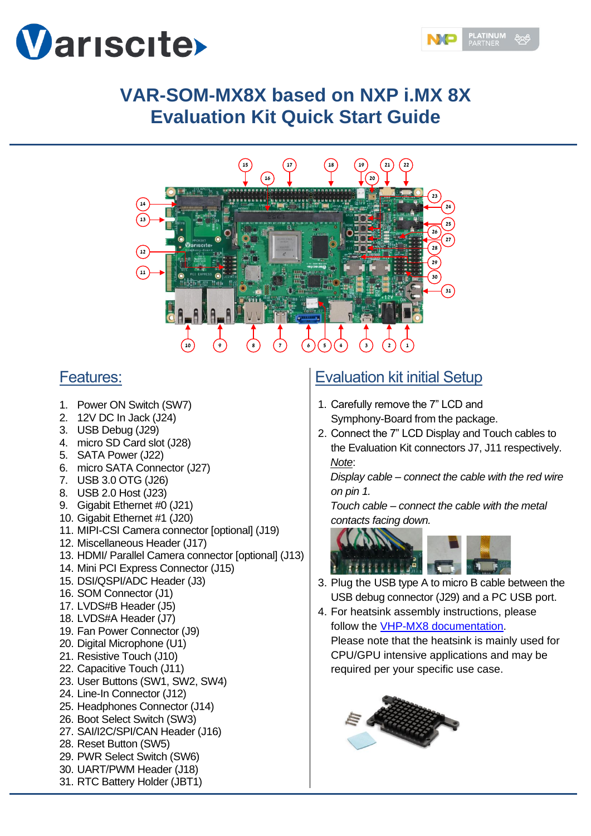



# **VAR-SOM-MX8X based on NXP i.MX 8X Evaluation Kit Quick Start Guide**



### Features:

- 1. Power ON Switch (SW7)
- 2. 12V DC In Jack (J24)
- 3. USB Debug (J29)
- 4. micro SD Card slot (J28)
- 5. SATA Power (J22)
- 6. micro SATA Connector (J27)
- 7. USB 3.0 OTG (J26)
- 8. USB 2.0 Host (J23)
- 9. Gigabit Ethernet #0 (J21)
- 10. Gigabit Ethernet #1 (J20)
- 11. MIPI-CSI Camera connector [optional] (J19)
- 12. Miscellaneous Header (J17)
- 13. HDMI/ Parallel Camera connector [optional] (J13)
- 14. Mini PCI Express Connector (J15)
- 15. DSI/QSPI/ADC Header (J3)
- 16. SOM Connector (J1)
- 17. LVDS#B Header (J5)
- 18. LVDS#A Header (J7)
- 19. Fan Power Connector (J9)
- 20. Digital Microphone (U1)
- 21. Resistive Touch (J10)
- 22. Capacitive Touch (J11)
- 23. User Buttons (SW1, SW2, SW4)
- 24. Line-In Connector (J12)
- 25. Headphones Connector (J14)
- 26. Boot Select Switch (SW3)
- 27. SAI/I2C/SPI/CAN Header (J16)
- 28. Reset Button (SW5)
- 29. PWR Select Switch (SW6)
- 30. UART/PWM Header (J18)
	-

#### 31. RTC Battery Holder (JBT1)

# Evaluation kit initial Setup

- 1. Carefully remove the 7" LCD and Symphony-Board from the package.
- 2. Connect the 7" LCD Display and Touch cables to the Evaluation Kit connectors J7, J11 respectively. *Note*:

*Display cable – connect the cable with the red wire on pin 1.*

*Touch cable – connect the cable with the metal contacts facing down.*



- 3. Plug the USB type A to micro B cable between the USB debug connector (J29) and a PC USB port.
- 4. For heatsink assembly instructions, please follow the [VHP-MX8 documentation.](https://www.variscite.com/wp-content/uploads/2020/11/VHP-MX8_Datasheet.pdf)

Please note that the heatsink is mainly used for CPU/GPU intensive applications and may be required per your specific use case.